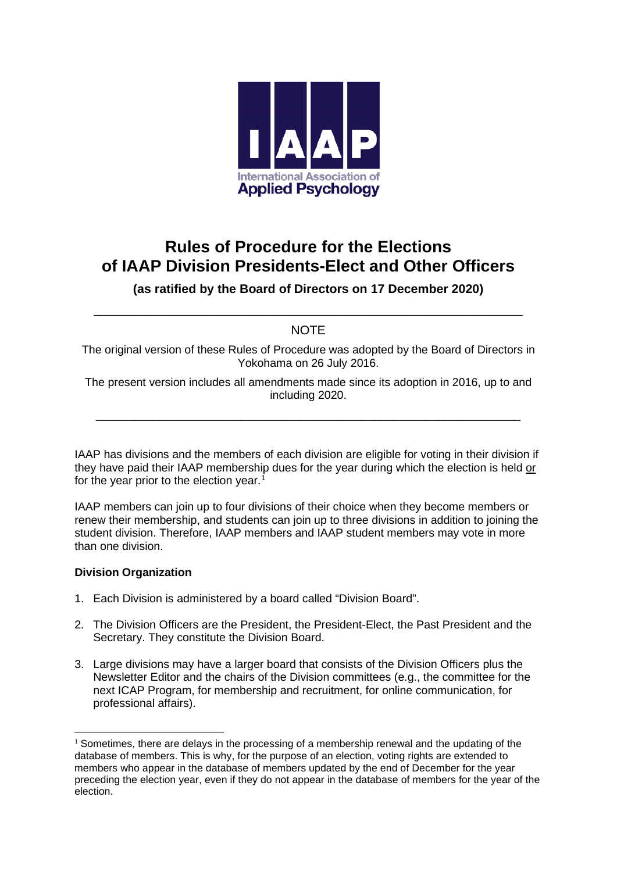

# **Rules of Procedure for the Elections of IAAP Division Presidents-Elect and Other Officers**

### **(as ratified by the Board of Directors on 17 December 2020)**

## \_\_\_\_\_\_\_\_\_\_\_\_\_\_\_\_\_\_\_\_\_\_\_\_\_\_\_\_\_\_\_\_\_\_\_\_\_\_\_\_\_\_\_\_\_\_\_\_\_\_\_\_\_\_\_\_\_\_\_\_\_\_ NOTE

The original version of these Rules of Procedure was adopted by the Board of Directors in Yokohama on 26 July 2016.

The present version includes all amendments made since its adoption in 2016, up to and including 2020.

\_\_\_\_\_\_\_\_\_\_\_\_\_\_\_\_\_\_\_\_\_\_\_\_\_\_\_\_\_\_\_\_\_\_\_\_\_\_\_\_\_\_\_\_\_\_\_\_\_\_\_\_\_\_\_\_\_\_\_\_\_\_\_\_\_\_\_

IAAP has divisions and the members of each division are eligible for voting in their division if they have paid their IAAP membership dues for the year during which the election is held or for the year prior to the election year.<sup>[1](#page-0-0)</sup>

IAAP members can join up to four divisions of their choice when they become members or renew their membership, and students can join up to three divisions in addition to joining the student division. Therefore, IAAP members and IAAP student members may vote in more than one division.

#### **Division Organization**

- 1. Each Division is administered by a board called "Division Board".
- 2. The Division Officers are the President, the President-Elect, the Past President and the Secretary. They constitute the Division Board.
- 3. Large divisions may have a larger board that consists of the Division Officers plus the Newsletter Editor and the chairs of the Division committees (e.g., the committee for the next ICAP Program, for membership and recruitment, for online communication, for professional affairs).

<span id="page-0-0"></span> $1$  Sometimes, there are delays in the processing of a membership renewal and the updating of the database of members. This is why, for the purpose of an election, voting rights are extended to members who appear in the database of members updated by the end of December for the year preceding the election year, even if they do not appear in the database of members for the year of the election.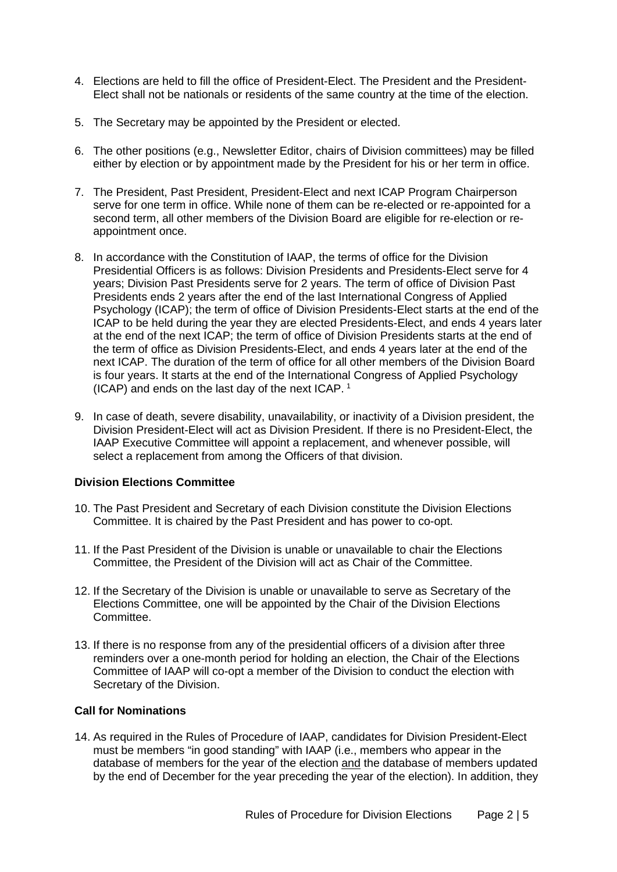- 4. Elections are held to fill the office of President-Elect. The President and the President-Elect shall not be nationals or residents of the same country at the time of the election.
- 5. The Secretary may be appointed by the President or elected.
- 6. The other positions (e.g., Newsletter Editor, chairs of Division committees) may be filled either by election or by appointment made by the President for his or her term in office.
- 7. The President, Past President, President-Elect and next ICAP Program Chairperson serve for one term in office. While none of them can be re-elected or re-appointed for a second term, all other members of the Division Board are eligible for re-election or reappointment once.
- 8. In accordance with the Constitution of IAAP, the terms of office for the Division Presidential Officers is as follows: Division Presidents and Presidents-Elect serve for 4 years; Division Past Presidents serve for 2 years. The term of office of Division Past Presidents ends 2 years after the end of the last International Congress of Applied Psychology (ICAP); the term of office of Division Presidents-Elect starts at the end of the ICAP to be held during the year they are elected Presidents-Elect, and ends 4 years later at the end of the next ICAP; the term of office of Division Presidents starts at the end of the term of office as Division Presidents-Elect, and ends 4 years later at the end of the next ICAP. The duration of the term of office for all other members of the Division Board is four years. It starts at the end of the International Congress of Applied Psychology (ICAP) and ends on the last day of the next ICAP. [1](#page-4-0)
- 9. In case of death, severe disability, unavailability, or inactivity of a Division president, the Division President-Elect will act as Division President. If there is no President-Elect, the IAAP Executive Committee will appoint a replacement, and whenever possible, will select a replacement from among the Officers of that division.

#### **Division Elections Committee**

- 10. The Past President and Secretary of each Division constitute the Division Elections Committee. It is chaired by the Past President and has power to co-opt.
- 11. If the Past President of the Division is unable or unavailable to chair the Elections Committee, the President of the Division will act as Chair of the Committee.
- 12. If the Secretary of the Division is unable or unavailable to serve as Secretary of the Elections Committee, one will be appointed by the Chair of the Division Elections Committee.
- 13. If there is no response from any of the presidential officers of a division after three reminders over a one-month period for holding an election, the Chair of the Elections Committee of IAAP will co-opt a member of the Division to conduct the election with Secretary of the Division.

#### **Call for Nominations**

14. As required in the Rules of Procedure of IAAP, candidates for Division President-Elect must be members "in good standing" with IAAP (i.e., members who appear in the database of members for the year of the election and the database of members updated by the end of December for the year preceding the year of the election). In addition, they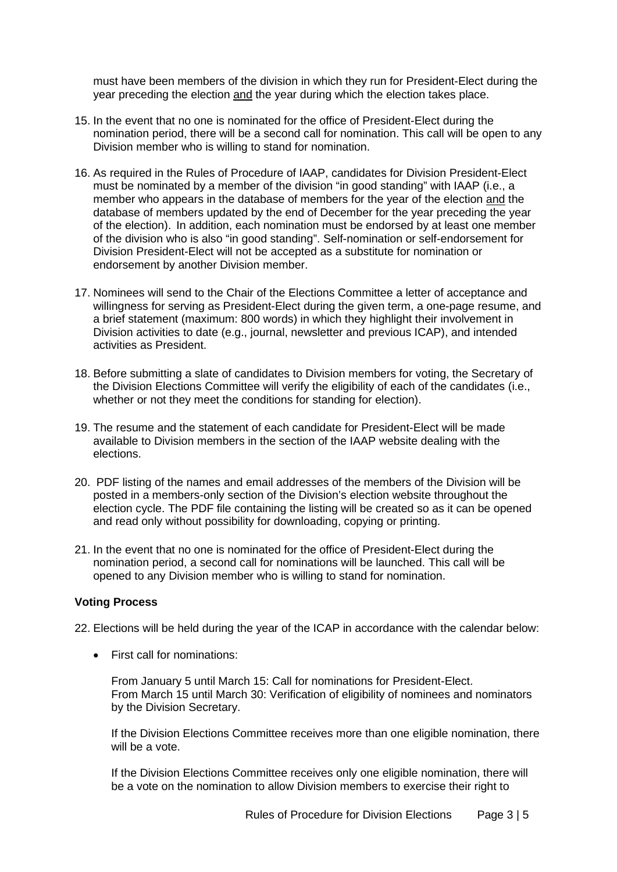must have been members of the division in which they run for President-Elect during the year preceding the election and the year during which the election takes place.

- 15. In the event that no one is nominated for the office of President-Elect during the nomination period, there will be a second call for nomination. This call will be open to any Division member who is willing to stand for nomination.
- 16. As required in the Rules of Procedure of IAAP, candidates for Division President-Elect must be nominated by a member of the division "in good standing" with IAAP (i.e., a member who appears in the database of members for the year of the election and the database of members updated by the end of December for the year preceding the year of the election). In addition, each nomination must be endorsed by at least one member of the division who is also "in good standing". Self-nomination or self-endorsement for Division President-Elect will not be accepted as a substitute for nomination or endorsement by another Division member.
- 17. Nominees will send to the Chair of the Elections Committee a letter of acceptance and willingness for serving as President-Elect during the given term, a one-page resume, and a brief statement (maximum: 800 words) in which they highlight their involvement in Division activities to date (e.g., journal, newsletter and previous ICAP), and intended activities as President.
- 18. Before submitting a slate of candidates to Division members for voting, the Secretary of the Division Elections Committee will verify the eligibility of each of the candidates (i.e., whether or not they meet the conditions for standing for election).
- 19. The resume and the statement of each candidate for President-Elect will be made available to Division members in the section of the IAAP website dealing with the elections.
- 20. PDF listing of the names and email addresses of the members of the Division will be posted in a members-only section of the Division's election website throughout the election cycle. The PDF file containing the listing will be created so as it can be opened and read only without possibility for downloading, copying or printing.
- 21. In the event that no one is nominated for the office of President-Elect during the nomination period, a second call for nominations will be launched. This call will be opened to any Division member who is willing to stand for nomination.

#### **Voting Process**

22. Elections will be held during the year of the ICAP in accordance with the calendar below:

• First call for nominations:

From January 5 until March 15: Call for nominations for President-Elect. From March 15 until March 30: Verification of eligibility of nominees and nominators by the Division Secretary.

If the Division Elections Committee receives more than one eligible nomination, there will be a vote.

If the Division Elections Committee receives only one eligible nomination, there will be a vote on the nomination to allow Division members to exercise their right to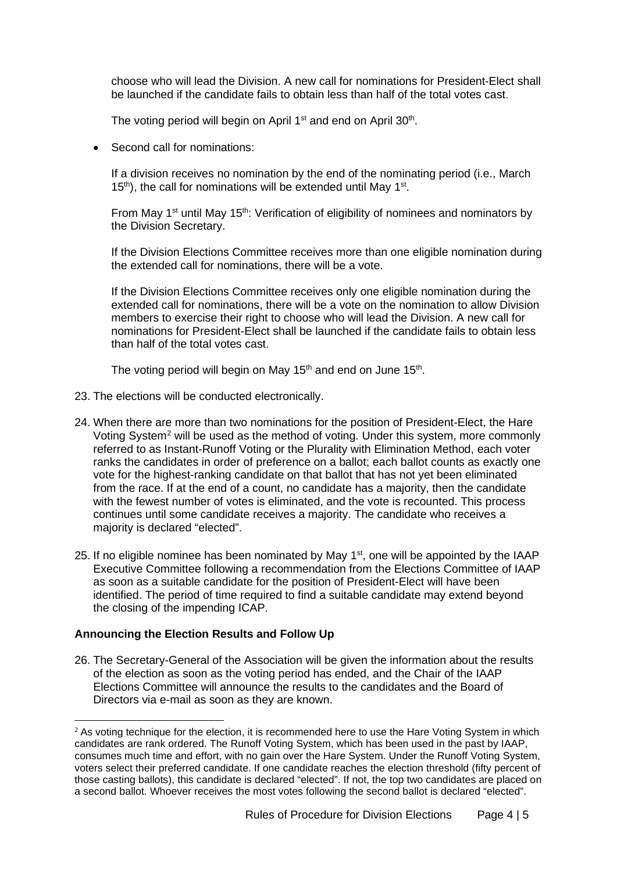choose who will lead the Division. A new call for nominations for President-Elect shall be launched if the candidate fails to obtain less than half of the total votes cast.

The voting period will begin on April 1<sup>st</sup> and end on April 30<sup>th</sup>.

• Second call for nominations:

If a division receives no nomination by the end of the nominating period (i.e., March  $15<sup>th</sup>$ ), the call for nominations will be extended until May  $1<sup>st</sup>$ .

From May 1<sup>st</sup> until May 15<sup>th</sup>: Verification of eligibility of nominees and nominators by the Division Secretary.

If the Division Elections Committee receives more than one eligible nomination during the extended call for nominations, there will be a vote.

If the Division Elections Committee receives only one eligible nomination during the extended call for nominations, there will be a vote on the nomination to allow Division members to exercise their right to choose who will lead the Division. A new call for nominations for President-Elect shall be launched if the candidate fails to obtain less than half of the total votes cast.

The voting period will begin on May  $15<sup>th</sup>$  and end on June  $15<sup>th</sup>$ .

- 23. The elections will be conducted electronically.
- 24. When there are more than two nominations for the position of President-Elect, the Hare Voting System[2](#page-3-0) will be used as the method of voting. Under this system, more commonly referred to as Instant-Runoff Voting or the Plurality with Elimination Method, each voter ranks the candidates in order of preference on a ballot; each ballot counts as exactly one vote for the highest-ranking candidate on that ballot that has not yet been eliminated from the race. If at the end of a count, no candidate has a majority, then the candidate with the fewest number of votes is eliminated, and the vote is recounted. This process continues until some candidate receives a majority. The candidate who receives a majority is declared "elected".
- 25. If no eligible nominee has been nominated by May 1<sup>st</sup>, one will be appointed by the IAAP Executive Committee following a recommendation from the Elections Committee of IAAP as soon as a suitable candidate for the position of President-Elect will have been identified. The period of time required to find a suitable candidate may extend beyond the closing of the impending ICAP.

#### **Announcing the Election Results and Follow Up**

26. The Secretary-General of the Association will be given the information about the results of the election as soon as the voting period has ended, and the Chair of the IAAP Elections Committee will announce the results to the candidates and the Board of Directors via e-mail as soon as they are known.

<span id="page-3-0"></span> $<sup>2</sup>$  As voting technique for the election, it is recommended here to use the Hare Voting System in which</sup> candidates are rank ordered. The Runoff Voting System, which has been used in the past by IAAP, consumes much time and effort, with no gain over the Hare System. Under the Runoff Voting System, voters select their preferred candidate. If one candidate reaches the election threshold (fifty percent of those casting ballots), this candidate is declared "elected". If not, the top two candidates are placed on a second ballot. Whoever receives the most votes following the second ballot is declared "elected".